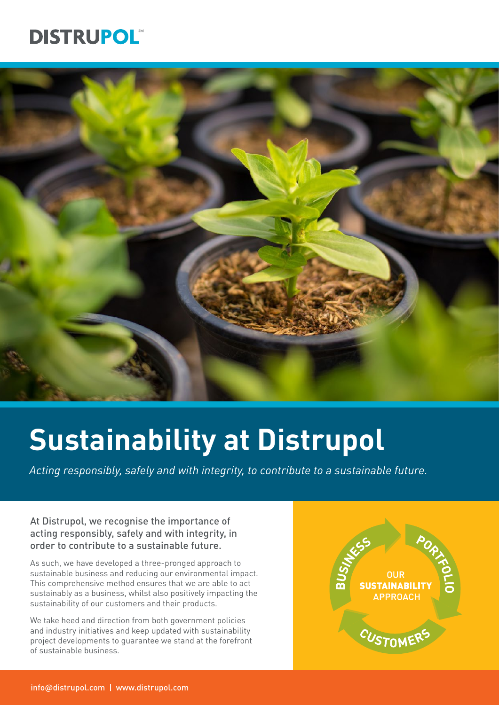## **DISTRUPOL**



# **Sustainability at Distrupol**

*Acting responsibly, safely and with integrity, to contribute to a sustainable future.*

#### At Distrupol, we recognise the importance of acting responsibly, safely and with integrity, in order to contribute to a sustainable future.

As such, we have developed a three-pronged approach to sustainable business and reducing our environmental impact. This comprehensive method ensures that we are able to act sustainably as a business, whilst also positively impacting the sustainability of our customers and their products.

We take heed and direction from both government policies and industry initiatives and keep updated with sustainability project developments to guarantee we stand at the forefront of sustainable business.